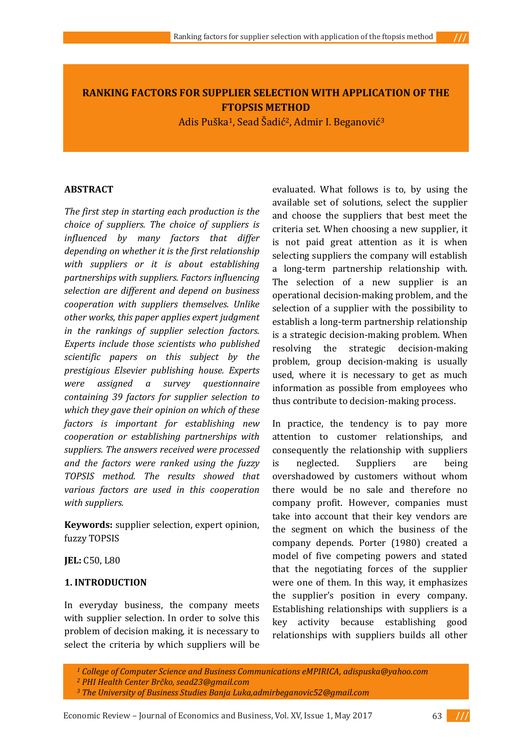# **RANKING FACTORS FOR SUPPLIER SELECTION WITH APPLICATION OF THE FTOPSIS METHOD**

Adis Puška1, Sead Šadić2, Admir I. Beganović<sup>3</sup>

### **ABSTRACT**

*The first step in starting each production is the choice of suppliers. The choice of suppliers is influenced by many factors that differ depending on whether it is the first relationship with suppliers or it is about establishing partnerships with suppliers. Factors influencing selection are different and depend on business cooperation with suppliers themselves. Unlike other works, this paper applies expert judgment in the rankings of supplier selection factors. Experts include those scientists who published scientific papers on this subject by the prestigious Elsevier publishing house. Experts were assigned a survey questionnaire containing 39 factors for supplier selection to which they gave their opinion on which of these factors is important for establishing new cooperation or establishing partnerships with suppliers. The answers received were processed and the factors were ranked using the fuzzy TOPSIS method. The results showed that various factors are used in this cooperation with suppliers.*

**Keywords:** supplier selection, expert opinion, fuzzy TOPSIS

**JEL:** C50, L80

## **1. INTRODUCTION**

In everyday business, the company meets with supplier selection. In order to solve this problem of decision making, it is necessary to select the criteria by which suppliers will be

evaluated. What follows is to, by using the available set of solutions, select the supplier and choose the suppliers that best meet the criteria set. When choosing a new supplier, it is not paid great attention as it is when selecting suppliers the company will establish a long-term partnership relationship with. The selection of a new supplier is an operational decision-making problem, and the selection of a supplier with the possibility to establish a long-term partnership relationship is a strategic decision-making problem. When resolving the strategic decision-making problem, group decision-making is usually used, where it is necessary to get as much information as possible from employees who thus contribute to decision-making process.

In practice, the tendency is to pay more attention to customer relationships, and consequently the relationship with suppliers is neglected. Suppliers are being overshadowed by customers without whom there would be no sale and therefore no company profit. However, companies must take into account that their key vendors are the segment on which the business of the company depends. Porter (1980) created a model of five competing powers and stated that the negotiating forces of the supplier were one of them. In this way, it emphasizes the supplier's position in every company. Establishing relationships with suppliers is a key activity because establishing good relationships with suppliers builds all other



*<sup>1</sup> College of Computer Science and Business Communications eMPIRICA, adispuska@yahoo.com*

*<sup>2</sup> PHI Health Center Brčko, sead23@gmail.com*

*<sup>3</sup> The University of Business Studies Banja Luka,admirbeganovic52@gmail.com*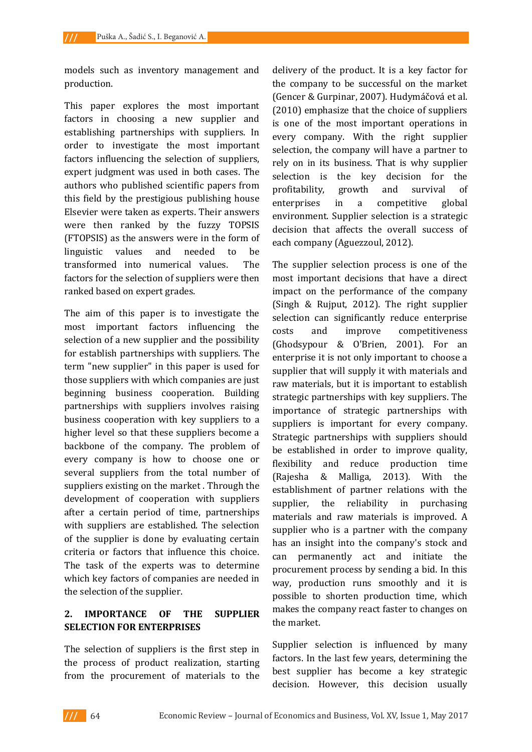models such as inventory management and production.

This paper explores the most important factors in choosing a new supplier and establishing partnerships with suppliers. In order to investigate the most important factors influencing the selection of suppliers, expert judgment was used in both cases. The authors who published scientific papers from this field by the prestigious publishing house Elsevier were taken as experts. Their answers were then ranked by the fuzzy TOPSIS (FTOPSIS) as the answers were in the form of linguistic values and needed to be transformed into numerical values. The factors for the selection of suppliers were then ranked based on expert grades.

The aim of this paper is to investigate the most important factors influencing the selection of a new supplier and the possibility for establish partnerships with suppliers. The term "new supplier" in this paper is used for those suppliers with which companies are just beginning business cooperation. Building partnerships with suppliers involves raising business cooperation with key suppliers to a higher level so that these suppliers become a backbone of the company. The problem of every company is how to choose one or several suppliers from the total number of suppliers existing on the market . Through the development of cooperation with suppliers after a certain period of time, partnerships with suppliers are established. The selection of the supplier is done by evaluating certain criteria or factors that influence this choice. The task of the experts was to determine which key factors of companies are needed in the selection of the supplier.

# **2. IMPORTANCE OF THE SUPPLIER SELECTION FOR ENTERPRISES**

The selection of suppliers is the first step in the process of product realization, starting from the procurement of materials to the

delivery of the product. It is a key factor for the company to be successful on the market (Gencer & Gurpinar, 2007). Hudymáčová et al. (2010) emphasize that the choice of suppliers is one of the most important operations in every company. With the right supplier selection, the company will have a partner to rely on in its business. That is why supplier selection is the key decision for the profitability, growth and survival of enterprises in a competitive global environment. Supplier selection is a strategic decision that affects the overall success of each company (Aguezzoul, 2012).

The supplier selection process is one of the most important decisions that have a direct impact on the performance of the company (Singh & Rujput, 2012). The right supplier selection can significantly reduce enterprise costs and improve competitiveness (Ghodsypour & O'Brien, 2001). For an enterprise it is not only important to choose a supplier that will supply it with materials and raw materials, but it is important to establish strategic partnerships with key suppliers. The importance of strategic partnerships with suppliers is important for every company. Strategic partnerships with suppliers should be established in order to improve quality, flexibility and reduce production time (Rajesha & Malliga, 2013). With the establishment of partner relations with the supplier, the reliability in purchasing materials and raw materials is improved. A supplier who is a partner with the company has an insight into the company's stock and can permanently act and initiate the procurement process by sending a bid. In this way, production runs smoothly and it is possible to shorten production time, which makes the company react faster to changes on the market.

Supplier selection is influenced by many factors. In the last few years, determining the best supplier has become a key strategic decision. However, this decision usually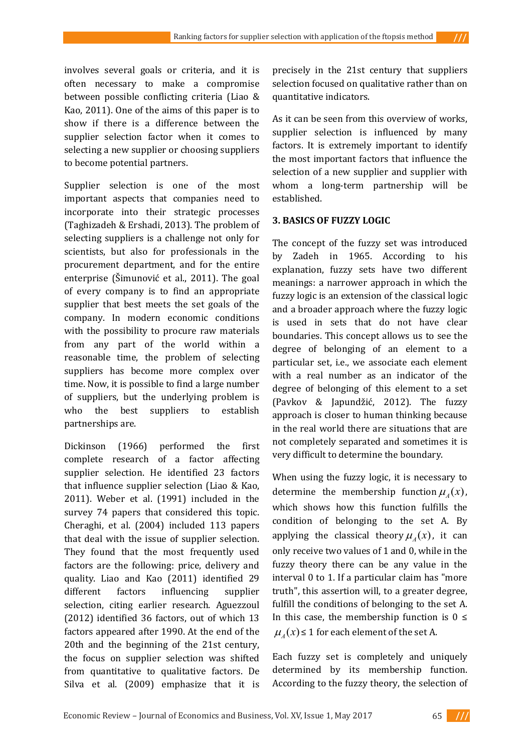involves several goals or criteria, and it is often necessary to make a compromise between possible conflicting criteria (Liao & Kao, 2011). One of the aims of this paper is to show if there is a difference between the supplier selection factor when it comes to selecting a new supplier or choosing suppliers to become potential partners.

Supplier selection is one of the most important aspects that companies need to incorporate into their strategic processes (Taghizadeh & Ershadi, 2013). The problem of selecting suppliers is a challenge not only for scientists, but also for professionals in the procurement department, and for the entire enterprise (Šimunović et al., 2011). The goal of every company is to find an appropriate supplier that best meets the set goals of the company. In modern economic conditions with the possibility to procure raw materials from any part of the world within a reasonable time, the problem of selecting suppliers has become more complex over time. Now, it is possible to find a large number of suppliers, but the underlying problem is who the best suppliers to establish partnerships are.

Dickinson (1966) performed the first complete research of a factor affecting supplier selection. He identified 23 factors that influence supplier selection (Liao & Kao, 2011). Weber et al. (1991) included in the survey 74 papers that considered this topic. Cheraghi, et al. (2004) included 113 papers that deal with the issue of supplier selection. They found that the most frequently used factors are the following: price, delivery and quality. Liao and Kao (2011) identified 29 different factors influencing supplier selection, citing earlier research. Aguezzoul (2012) identified 36 factors, out of which 13 factors appeared after 1990. At the end of the 20th and the beginning of the 21st century, the focus on supplier selection was shifted from quantitative to qualitative factors. De Silva et al. (2009) emphasize that it is

precisely in the 21st century that suppliers selection focused on qualitative rather than on quantitative indicators.

As it can be seen from this overview of works, supplier selection is influenced by many factors. It is extremely important to identify the most important factors that influence the selection of a new supplier and supplier with whom a long-term partnership will be established.

### **3. BASICS OF FUZZY LOGIC**

The concept of the fuzzy set was introduced by Zadeh in 1965. According to his explanation, fuzzy sets have two different meanings: a narrower approach in which the fuzzy logic is an extension of the classical logic and a broader approach where the fuzzy logic is used in sets that do not have clear boundaries. This concept allows us to see the degree of belonging of an element to a particular set, i.e., we associate each element with a real number as an indicator of the degree of belonging of this element to a set (Pavkov & Japundžić, 2012). The fuzzy approach is closer to human thinking because in the real world there are situations that are not completely separated and sometimes it is very difficult to determine the boundary.

When using the fuzzy logic, it is necessary to determine the membership function  $\mu_A(x)$ , which shows how this function fulfills the condition of belonging to the set A. By applying the classical theory  $\mu_A(x)$ , it can only receive two values of 1 and 0, while in the fuzzy theory there can be any value in the interval 0 to 1. If a particular claim has "more truth", this assertion will, to a greater degree, fulfill the conditions of belonging to the set A. In this case, the membership function is  $0 \leq$  $\mu_A(x) \leq 1$  for each element of the set A.

Each fuzzy set is completely and uniquely determined by its membership function. According to the fuzzy theory, the selection of

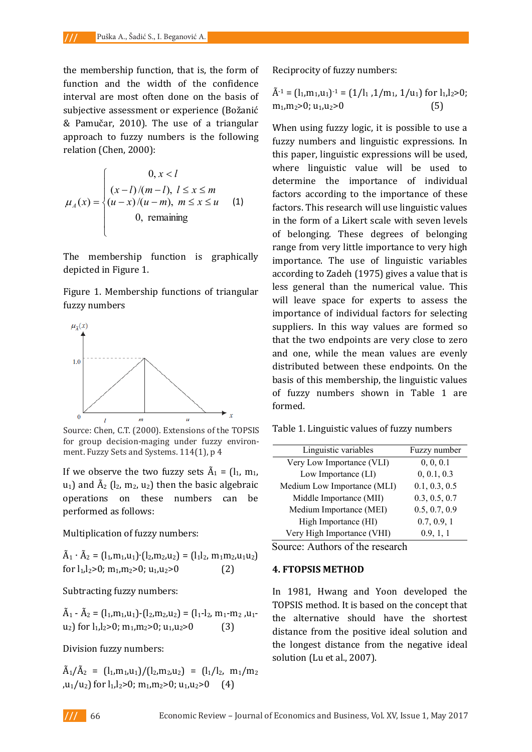the membership function, that is, the form of function and the width of the confidence interval are most often done on the basis of subjective assessment or experience (Božanić & Pamučar, 2010). The use of a triangular approach to fuzzy numbers is the following relation (Chen, 2000):

$$
\mu_A(x) = \begin{cases}\n0, x < l \\
(x-l)/(m-l), l \le x \le m \\
(u-x)/(u-m), m \le x \le u \\
0, \text{ remaining}\n\end{cases}
$$
\n(1)

 $\overline{a}$ 

The membership function is graphically The membership function is graphically depicted in Figure 1.

Figure 1. Membership functions of triangular Figure 1. Membership functions of triangular fuzzy numbers



for group decision-maging under fuzzy environment. Fuzzy Sets and Systems. 114(1), p 4 Source: Chen, C.T. (2000). Extensions of the TOPSIS

If yes observe the two fuzzy sets  $\tilde{\Lambda} = (l, m, n)$  $\frac{1}{2}$  and  $\frac{3}{4}$  (l2, m<sub>2</sub>, u2) then the basic algebraic operations on these numbers can be operations on these numbers can be performed as follows: performed as follows: If we observe the two fuzzy sets  $A_1 = (I_1, m_1, I_2)$  $u_1$ ) and  $A_2$  ( $l_2$ ,  $m_2$ ,  $u_2$ ) then the basic algebraic operations on these numbers can be performed as follows:

Multiplication of fuzzy numbers: Multiplication of fuzzy numbers: Multiplication of fuzzy numbers:

$$
\tilde{A}_1 \cdot \tilde{A}_2 = (l_1, m_1, u_1) \cdot (l_2, m_2, u_2) = (l_1 l_2, m_1 m_2, u_1 u_2)
$$
  
for l<sub>1</sub>,l<sub>2</sub>>0; m<sub>1</sub>,m<sub>2</sub>>0; u<sub>1</sub>,u<sub>2</sub>>0 (2)

Subtracting fuzzy numbers: Subtracting fuzzy numbers: Subtracting fuzzy numbers:

 $\tilde{\lambda}$   $\tilde{\lambda}$  = (lm, u) (lm, u) = (llm, m, u u2) for l1,l2>0; m1,m2>0; u1,u2>0 (3) u2) for l1,l2>0; m1,m2>0; u1,u2>0 (3)  $A_1 - A_2 = (l_1,m_1,u_1) - (l_2,m_2,u_2) = (l_1-l_2, m_1-m_2, u_1-l_2)$  $u_2$ ) for  $l_1, l_2 > 0$ ;  $m_1, m_2 > 0$ ;  $u_1, u_2 > 0$  (3)

Division fuzzy numbers: Division fuzzy numbers: Division fuzzy numbers:

 $\tilde{\lambda}$   $\tilde{\lambda}$  = (lm, u)/(lm, u) = (l) m /m  $\frac{1}{2}$   $\frac{1}{2}$   $\frac{1}{2}$   $\frac{1}{2}$   $\frac{1}{2}$   $\frac{1}{2}$   $\frac{1}{2}$   $\frac{1}{2}$   $\frac{1}{2}$   $\frac{1}{2}$   $\frac{1}{2}$   $\frac{1}{2}$   $\frac{1}{2}$   $\frac{1}{2}$   $\frac{1}{2}$   $\frac{1}{2}$   $\frac{1}{2}$   $\frac{1}{2}$   $\frac{1}{2}$   $\frac{1}{2}$   $\frac{1}{2}$   $\frac{1}{2}$   $A_1/A_2 = (l_1,m_1,u_1)/(l_2,m_2,u_2) = (l_1/l_2, m_1/m_2)$ ,u<sub>1</sub>/u<sub>2</sub>) for l<sub>1</sub>,l<sub>2</sub>>0; m<sub>1</sub>,m<sub>2</sub>>0; u<sub>1</sub>,u<sub>2</sub>>0 (4)

Reciprocity of fuzzy numbers: Reciprocity of fuzzy numbers:

$$
\tilde{A}^{-1} = (l_1, m_1, u_1)^{-1} = (1/l_1, 1/m_1, 1/u_1) \text{ for } l_1, l_2 > 0; \nm_1, m_2 > 0; u_1, u_2 > 0
$$
\n(5)

When using fuzzy logic, it is possible to use a When using fuzzy logic, it is possible to use a fuzzy numbers and linguistic expressions. In this paper, linguistic expressions will be used, where linguistic value will be used to determine the importance of individual factors according to the importance of these factors. This research will use linguistic values in the form of a Likert scale with seven levels of belonging. These degrees of belonging range from very little importance to very high importance. The use of linguistic variables according to Zadeh (1975) gives a value that is less general than the numerical value. This will leave space for experts to assess the importance of individual factors for selecting suppliers. In this way values are formed so that the two endpoints are very close to zero and one, while the mean values are evenly distributed between these endpoints. On the basis of this membership, the linguistic values of fuzzy numbers shown in Table 1 are formed. **Exonomics and Business and Business, Vol. 2021** (E a form of Recyclenty density interaction and the width of the conomic Review and Schwaria and Schwaria and Schwaria and Schwaria and Schwaria and Schwaria and Schwaria a

Table 1. Linguistic values of fuzzy numbers Table 1. Linguistic values of fuzzy numbers

| Linguistic variables        | Fuzzy number  |
|-----------------------------|---------------|
| Very Low Importance (VLI)   | 0, 0, 0.1     |
| Low Importance (LI)         | 0, 0.1, 0.3   |
| Medium Low Importance (MLI) | 0.1, 0.3, 0.5 |
| Middle Importance (MII)     | 0.3, 0.5, 0.7 |
| Medium Importance (MEI)     | 0.5, 0.7, 0.9 |
| High Importance (HI)        | 0.7, 0.9, 1   |
| Very High Importance (VHI)  | 0.9, 1, 1     |
|                             |               |

Source: Authors of the research

#### **4. FTOPSIS METHOD 4. FTOPSIS METHOD**

In 1981, Hwang and Yoon developed the In 1981, Hwang and Yoon developed the TOPSIS method. It is based on the concept that the alternative should have the shortest distance from the positive ideal solution and the longest distance from the negative ideal solution (Lu et al., 2007).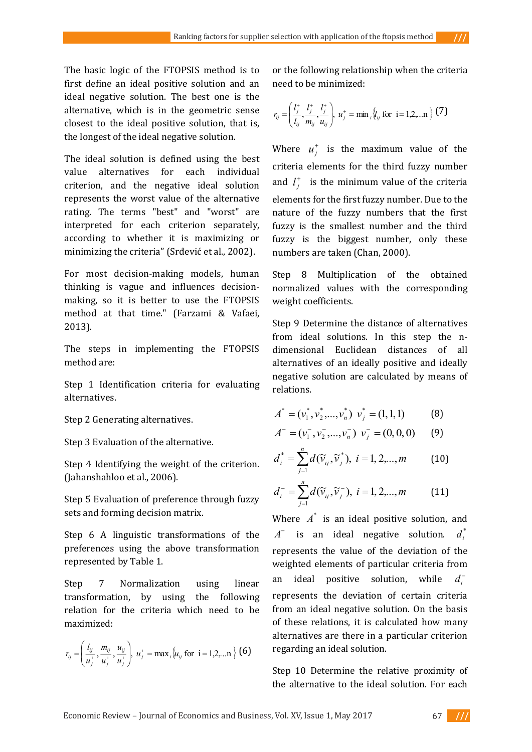The basic logic of the FTOPSIS method is to first define an ideal positive solution and an ideal negative solution. The best one is the alternative, which is in the geometric sense closest to the ideal positive solution, that is, the longest of the ideal negative solution.

The ideal solution is defined using the best value alternatives for each individual criterion, and the negative ideal solution represents the worst value of the alternative rating. The terms "best" and "worst" are interpreted for each criterion separately, according to whether it is maximizing or minimizing the criteria" (Srđević et al., 2002).

For most decision-making models, human thinking is vague and influences decisionmaking, so it is better to use the FTOPSIS method at that time." (Farzami & Vafaei, 2013).

The steps in implementing the FTOPSIS method are:

Step 1 Identification criteria for evaluating alternatives.

Step 2 Generating alternatives.

Step 3 Evaluation of the alternative.

Step 4 Identifying the weight of the criterion. (Jahanshahloo et al., 2006).

Step 5 Evaluation of preference through fuzzy sets and forming decision matrix.

Step 6 A linguistic transformations of the preferences using the above transformation represented by Table 1.

Step 7 Normalization using linear transformation, by using the following relation for the criteria which need to be maximized:

$$
r_{ij} = \left(\frac{l_{ij}}{u_j^+}, \frac{m_{ij}}{u_j^+}, \frac{u_{ij}}{u_j^+}\right), u_j^+ = \max_i \{u_{ij} \text{ for } i = 1, 2, \dots n\} (6)
$$

or the following relationship when the criteria need to be minimized:

$$
r_{ij} = \left(\frac{l_j^+}{l_{ij}}, \frac{l_j^+}{m_{ij}}, \frac{l_j^+}{u_{ij}}\right), u_j^+ = \min_i \{l_{ij} \text{ for } i = 1, 2, \dots n\} \tag{7}
$$

Where  $u_i^+$  is the maximum value of the criteria elements for the third fuzzy number and  $l_j^+$  is the minimum value of the criteria elements for the first fuzzy number. Due to the nature of the fuzzy numbers that the first fuzzy is the smallest number and the third fuzzy is the biggest number, only these numbers are taken (Chan, 2000).

Step 8 Multiplication of the obtained normalized values with the corresponding weight coefficients.

Step 9 Determine the distance of alternatives from ideal solutions. In this step the ndimensional Euclidean distances of all alternatives of an ideally positive and ideally negative solution are calculated by means of relations.

$$
A^* = (v_1^*, v_2^*, \dots, v_n^*) \ v_j^* = (1, 1, 1)
$$
 (8)

$$
A^- = (v_1^-, v_2^-, ..., v_n^-) \, v_j^- = (0, 0, 0) \qquad (9)
$$

$$
d_i^* = \sum_{j=1}^n d(\widetilde{v}_{ij}, \widetilde{v}_j^*), \ i = 1, 2, ..., m \qquad (10)
$$

$$
d_i^- = \sum_{j=1}^n d(\widetilde{v}_{ij}, \widetilde{v}_j^-), \ i = 1, 2, ..., m \qquad (11)
$$

Where  $A^*$  is an ideal positive solution, and  $A^-$  is an ideal negative solution.  $d^*$ represents the value of the deviation of the weighted elements of particular criteria from an ideal positive solution, while *di* represents the deviation of certain criteria from an ideal negative solution. On the basis of these relations, it is calculated how many alternatives are there in a particular criterion regarding an ideal solution.

Step 10 Determine the relative proximity of the alternative to the ideal solution. For each

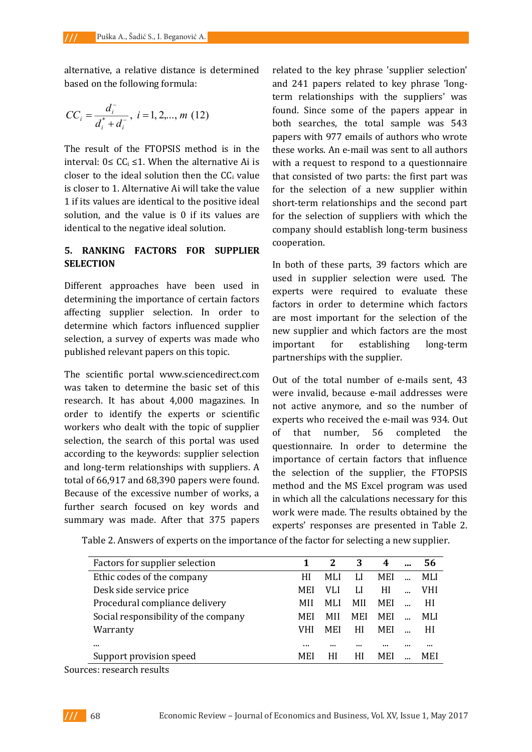alternative, a relative distance is determined based on the following formula:

$$
CC_i = \frac{d_i^-}{d_i^* + d_i^-}, i = 1, 2, ..., m (12)
$$

The result of the FTOPSIS method is in the interval:  $0 ≤ CC<sub>i</sub> ≤ 1$ . When the alternative Ai is closer to the ideal solution then the  $CC<sub>i</sub>$  value is closer to 1. Alternative Ai will take the value 1 if its values are identical to the positive ideal solution, and the value is 0 if its values are identical to the negative ideal solution.

## **5. RANKING FACTORS FOR SUPPLIER SELECTION**

Different approaches have been used in determining the importance of certain factors affecting supplier selection. In order to determine which factors influenced supplier selection, a survey of experts was made who published relevant papers on this topic.

The scientific portal www.sciencedirect.com was taken to determine the basic set of this research. It has about 4,000 magazines. In order to identify the experts or scientific workers who dealt with the topic of supplier selection, the search of this portal was used according to the keywords: supplier selection and long-term relationships with suppliers. A total of 66,917 and 68,390 papers were found. Because of the excessive number of works, a further search focused on key words and summary was made. After that 375 papers

related to the key phrase 'supplier selection' and 241 papers related to key phrase 'longterm relationships with the suppliers' was found. Since some of the papers appear in both searches, the total sample was 543 papers with 977 emails of authors who wrote these works. An e-mail was sent to all authors with a request to respond to a questionnaire that consisted of two parts: the first part was for the selection of a new supplier within short-term relationships and the second part for the selection of suppliers with which the company should establish long-term business cooperation.

In both of these parts, 39 factors which are used in supplier selection were used. The experts were required to evaluate these factors in order to determine which factors are most important for the selection of the new supplier and which factors are the most important for establishing long-term partnerships with the supplier.

Out of the total number of e-mails sent, 43 were invalid, because e-mail addresses were not active anymore, and so the number of experts who received the e-mail was 934. Out of that number, 56 completed the questionnaire. In order to determine the importance of certain factors that influence the selection of the supplier, the FTOPSIS method and the MS Excel program was used in which all the calculations necessary for this work were made. The results obtained by the experts' responses are presented in Table 2.

Table 2. Answers of experts on the importance of the factor for selecting a new supplier.

| Factors for supplier selection       |     |            | 3          | 4          | $\ddotsc$ | 56   |
|--------------------------------------|-----|------------|------------|------------|-----------|------|
| Ethic codes of the company           | HI  | MLI        | LI         | <b>MEI</b> |           | MLI. |
| Desk side service price              | MEI | VLI        | LI         | НI         |           | VHI. |
| Procedural compliance delivery       | MH  | MLI        | MH         | <b>MEI</b> |           | НI   |
| Social responsibility of the company | MEI | MH         | <b>MEI</b> | <b>MEI</b> |           | MLI. |
| Warranty                             | VHI | <b>MEI</b> | НI         | <b>MEI</b> |           | НI   |
| $\cdots$                             |     | $\cdots$   | $\cdots$   |            |           |      |
| Support provision speed              | MEI | НI         | НI         | MEI        |           | MEI  |

Sources: research results

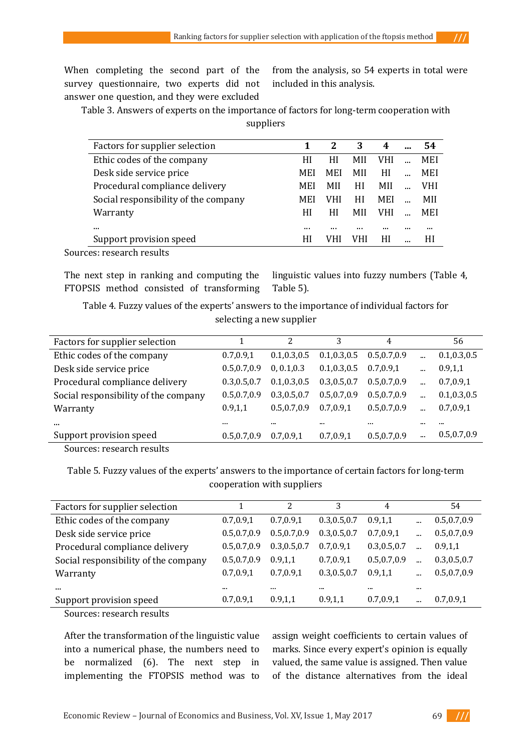When completing the second part of the survey questionnaire, two experts did not answer one question, and they were excluded

from the analysis, so 54 experts in total were included in this analysis.

Table 3. Answers of experts on the importance of factors for long-term cooperation with suppliers

| Factors for supplier selection       |     | 2          | 3   | 4   |            |
|--------------------------------------|-----|------------|-----|-----|------------|
| Ethic codes of the company           | НI  | НI         | MH  | VHI | MEI        |
| Desk side service price              | MEI | <b>MEI</b> | MH  | HI  | MEI        |
| Procedural compliance delivery       | MEI | MH         | HI  | MH  | <b>VHI</b> |
| Social responsibility of the company | MEI | VHI        | НI  | MEI | MH         |
| Warranty                             | НI  | НI         | MH  | VHI | MEI        |
| $\cdots$                             |     |            |     |     | <br>       |
| Support provision speed              | НI  |            | VHI | НI  | НI         |
|                                      |     |            |     |     |            |

Sources: research results

The next step in ranking and computing the FTOPSIS method consisted of transforming

linguistic values into fuzzy numbers (Table 4, Table 5).

Table 4. Fuzzy values of the experts' answers to the importance of individual factors for selecting a new supplier

| Factors for supplier selection       |               | 2             | 3             | 4             |          | 56            |
|--------------------------------------|---------------|---------------|---------------|---------------|----------|---------------|
| Ethic codes of the company           | 0.7, 0.9, 1   | 0.1, 0.3, 0.5 | 0.1, 0.3, 0.5 | 0.5,0.7,0.9   | $\cdots$ | 0.1, 0.3, 0.5 |
| Desk side service price              | 0.5, 0.7, 0.9 | 0, 0.1, 0.3   | 0.1, 0.3, 0.5 | 0.7, 0.9, 1   | $\cdots$ | 0.9, 1, 1     |
| Procedural compliance delivery       | 0.3,0.5,0.7   | 0.1, 0.3, 0.5 | 0.3, 0.5, 0.7 | 0.5.0.7.0.9   |          | 0.7, 0.9, 1   |
| Social responsibility of the company | 0.5,0.7,0.9   | 0.3, 0.5, 0.7 | 0.5, 0.7, 0.9 | 0.5, 0.7, 0.9 | $\cdots$ | 0.1, 0.3, 0.5 |
| Warranty                             | 0.9, 1, 1     | 0.5, 0.7, 0.9 | 0.7.0.9.1     | 0.5, 0.7, 0.9 |          | 0.7, 0.9, 1   |
| $\cdots$                             | $\cdots$      |               |               |               |          |               |
| Support provision speed              | 0.5,0.7,0.9   | 0.7,0.9,1     | 0.7, 0.9, 1   | 0.5, 0.7, 0.9 | $\cdots$ | 0.5, 0.7, 0.9 |
| $\mathbf{L}$<br>п.<br>$\sim$         |               |               |               |               |          |               |

Sources: research results

Table 5. Fuzzy values of the experts' answers to the importance of certain factors for long-term cooperation with suppliers

| Factors for supplier selection       |               | 2             | 3             | 4             |          | 54            |
|--------------------------------------|---------------|---------------|---------------|---------------|----------|---------------|
| Ethic codes of the company           | 0.7, 0.9, 1   | 0.7, 0.9, 1   | 0.3, 0.5, 0.7 | 0.9, 1, 1     | $\cdots$ | 0.5, 0.7, 0.9 |
| Desk side service price              | 0.5, 0.7, 0.9 | 0.5, 0.7, 0.9 | 0.3, 0.5, 0.7 | 0.7, 0.9, 1   | $\cdots$ | 0.5, 0.7, 0.9 |
| Procedural compliance delivery       | 0.5,0.7,0.9   | 0.3, 0.5, 0.7 | 0.7, 0.9, 1   | 0.3, 0.5, 0.7 |          | 0.9, 1, 1     |
| Social responsibility of the company | 0.5,0.7,0.9   | 0.9.1.1       | 0.7, 0.9, 1   | 0.5, 0.7, 0.9 | $\cdots$ | 0.3, 0.5, 0.7 |
| Warranty                             | 0.7, 0.9, 1   | 0.7, 0.9, 1   | 0.3, 0.5, 0.7 | 0.9, 1, 1     | $\cdots$ | 0.5, 0.7, 0.9 |
| $\cdots$                             |               |               |               |               |          |               |
| Support provision speed              | 0.7,0.9,1     | 0.9, 1, 1     | 0.9, 1, 1     | 0.7,0.9,1     | $\cdots$ | 0.7, 0.9, 1   |

Sources: research results

After the transformation of the linguistic value into a numerical phase, the numbers need to be normalized (6). The next step in implementing the FTOPSIS method was to assign weight coefficients to certain values of marks. Since every expert's opinion is equally valued, the same value is assigned. Then value of the distance alternatives from the ideal

Economic Review – Journal of Economics and Business, Vol. XV, Issue 1, May 2017 69

7 **///**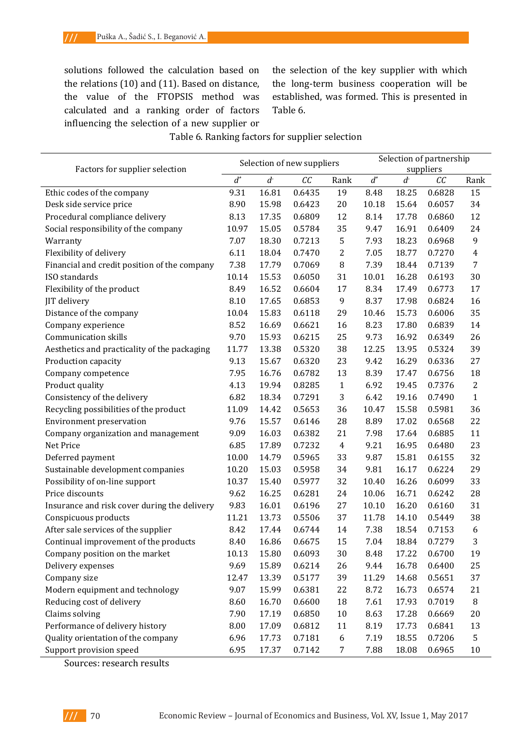solutions followed the calculation based on the relations (10) and (11). Based on distance, the value of the FTOPSIS method was calculated and a ranking order of factors influencing the selection of a new supplier or

the selection of the key supplier with which the long-term business cooperation will be established, was formed. This is presented in Table 6.

### Table 6. Ranking factors for supplier selection

|                                                           | Selection of new suppliers |       |        |                  | Selection of partnership<br>suppliers |                |        |                |
|-----------------------------------------------------------|----------------------------|-------|--------|------------------|---------------------------------------|----------------|--------|----------------|
| Factors for supplier selection<br>$d^*$<br>d <sub>z</sub> |                            |       |        |                  |                                       |                |        |                |
|                                                           |                            |       | CC     | Rank             | $d^*$                                 | d <sub>z</sub> | CC     | Rank           |
| Ethic codes of the company                                | 9.31                       | 16.81 | 0.6435 | 19               | 8.48                                  | 18.25          | 0.6828 | 15             |
| Desk side service price                                   | 8.90                       | 15.98 | 0.6423 | 20               | 10.18                                 | 15.64          | 0.6057 | 34             |
| Procedural compliance delivery                            | 8.13                       | 17.35 | 0.6809 | 12               | 8.14                                  | 17.78          | 0.6860 | 12             |
| Social responsibility of the company                      | 10.97                      | 15.05 | 0.5784 | 35               | 9.47                                  | 16.91          | 0.6409 | 24             |
| Warranty                                                  | 7.07                       | 18.30 | 0.7213 | 5                | 7.93                                  | 18.23          | 0.6968 | 9              |
| Flexibility of delivery                                   | 6.11                       | 18.04 | 0.7470 | 2                | 7.05                                  | 18.77          | 0.7270 | 4              |
| Financial and credit position of the company              | 7.38                       | 17.79 | 0.7069 | 8                | 7.39                                  | 18.44          | 0.7139 | 7              |
| ISO standards                                             | 10.14                      | 15.53 | 0.6050 | 31               | 10.01                                 | 16.28          | 0.6193 | 30             |
| Flexibility of the product                                | 8.49                       | 16.52 | 0.6604 | 17               | 8.34                                  | 17.49          | 0.6773 | 17             |
| JIT delivery                                              | 8.10                       | 17.65 | 0.6853 | 9                | 8.37                                  | 17.98          | 0.6824 | 16             |
| Distance of the company                                   | 10.04                      | 15.83 | 0.6118 | 29               | 10.46                                 | 15.73          | 0.6006 | 35             |
| Company experience                                        | 8.52                       | 16.69 | 0.6621 | 16               | 8.23                                  | 17.80          | 0.6839 | 14             |
| <b>Communication skills</b>                               | 9.70                       | 15.93 | 0.6215 | 25               | 9.73                                  | 16.92          | 0.6349 | 26             |
| Aesthetics and practicality of the packaging              | 11.77                      | 13.38 | 0.5320 | 38               | 12.25                                 | 13.95          | 0.5324 | 39             |
| Production capacity                                       | 9.13                       | 15.67 | 0.6320 | 23               | 9.42                                  | 16.29          | 0.6336 | 27             |
| Company competence                                        | 7.95                       | 16.76 | 0.6782 | 13               | 8.39                                  | 17.47          | 0.6756 | 18             |
| Product quality                                           | 4.13                       | 19.94 | 0.8285 | $\mathbf{1}$     | 6.92                                  | 19.45          | 0.7376 | $\overline{2}$ |
| Consistency of the delivery                               | 6.82                       | 18.34 | 0.7291 | 3                | 6.42                                  | 19.16          | 0.7490 | 1              |
| Recycling possibilities of the product                    | 11.09                      | 14.42 | 0.5653 | 36               | 10.47                                 | 15.58          | 0.5981 | 36             |
| <b>Environment preservation</b>                           | 9.76                       | 15.57 | 0.6146 | 28               | 8.89                                  | 17.02          | 0.6568 | 22             |
| Company organization and management                       | 9.09                       | 16.03 | 0.6382 | 21               | 7.98                                  | 17.64          | 0.6885 | 11             |
| Net Price                                                 | 6.85                       | 17.89 | 0.7232 | $\overline{4}$   | 9.21                                  | 16.95          | 0.6480 | 23             |
| Deferred payment                                          | 10.00                      | 14.79 | 0.5965 | 33               | 9.87                                  | 15.81          | 0.6155 | 32             |
| Sustainable development companies                         | 10.20                      | 15.03 | 0.5958 | 34               | 9.81                                  | 16.17          | 0.6224 | 29             |
| Possibility of on-line support                            | 10.37                      | 15.40 | 0.5977 | 32               | 10.40                                 | 16.26          | 0.6099 | 33             |
| Price discounts                                           | 9.62                       | 16.25 | 0.6281 | 24               | 10.06                                 | 16.71          | 0.6242 | 28             |
| Insurance and risk cover during the delivery              | 9.83                       | 16.01 | 0.6196 | 27               | 10.10                                 | 16.20          | 0.6160 | 31             |
| Conspicuous products                                      | 11.21                      | 13.73 | 0.5506 | 37               | 11.78                                 | 14.10          | 0.5449 | 38             |
| After sale services of the supplier                       | 8.42                       | 17.44 | 0.6744 | 14               | 7.38                                  | 18.54          | 0.7153 | 6              |
| Continual improvement of the products                     | 8.40                       | 16.86 | 0.6675 | 15               | 7.04                                  | 18.84          | 0.7279 | 3              |
| Company position on the market                            | 10.13                      | 15.80 | 0.6093 | 30               | 8.48                                  | 17.22          | 0.6700 | 19             |
| Delivery expenses                                         | 9.69                       | 15.89 | 0.6214 | 26               | 9.44                                  | 16.78          | 0.6400 | 25             |
| Company size                                              | 12.47                      | 13.39 | 0.5177 | 39               | 11.29                                 | 14.68          | 0.5651 | 37             |
| Modern equipment and technology                           | 9.07                       | 15.99 | 0.6381 | 22               | 8.72                                  |                |        | 21             |
|                                                           |                            |       |        |                  |                                       | 16.73<br>17.93 | 0.6574 |                |
| Reducing cost of delivery                                 | 8.60                       | 16.70 | 0.6600 | 18               | 7.61                                  |                | 0.7019 | 8              |
| Claims solving                                            | 7.90                       | 17.19 | 0.6850 | 10               | 8.63                                  | 17.28          | 0.6669 | 20             |
| Performance of delivery history                           | 8.00                       | 17.09 | 0.6812 | 11               | 8.19                                  | 17.73          | 0.6841 | 13             |
| Quality orientation of the company                        | 6.96                       | 17.73 | 0.7181 | $\boldsymbol{6}$ | 7.19                                  | 18.55          | 0.7206 | 5              |
| Support provision speed                                   | 6.95                       | 17.37 | 0.7142 | 7                | 7.88                                  | 18.08          | 0.6965 | $10\,$         |

Sources: research results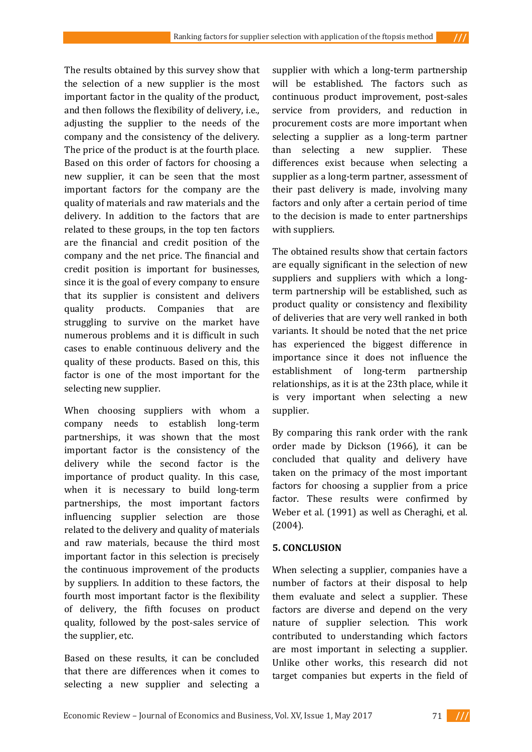The results obtained by this survey show that the selection of a new supplier is the most important factor in the quality of the product, and then follows the flexibility of delivery, i.e., adjusting the supplier to the needs of the company and the consistency of the delivery. The price of the product is at the fourth place. Based on this order of factors for choosing a new supplier, it can be seen that the most important factors for the company are the quality of materials and raw materials and the delivery. In addition to the factors that are related to these groups, in the top ten factors are the financial and credit position of the company and the net price. The financial and credit position is important for businesses, since it is the goal of every company to ensure that its supplier is consistent and delivers quality products. Companies that are struggling to survive on the market have numerous problems and it is difficult in such cases to enable continuous delivery and the quality of these products. Based on this, this factor is one of the most important for the selecting new supplier.

When choosing suppliers with whom a company needs to establish long-term partnerships, it was shown that the most important factor is the consistency of the delivery while the second factor is the importance of product quality. In this case, when it is necessary to build long-term partnerships, the most important factors influencing supplier selection are those related to the delivery and quality of materials and raw materials, because the third most important factor in this selection is precisely the continuous improvement of the products by suppliers. In addition to these factors, the fourth most important factor is the flexibility of delivery, the fifth focuses on product quality, followed by the post-sales service of the supplier, etc.

Based on these results, it can be concluded that there are differences when it comes to selecting a new supplier and selecting a

supplier with which a long-term partnership will be established. The factors such as continuous product improvement, post-sales service from providers, and reduction in procurement costs are more important when selecting a supplier as a long-term partner than selecting a new supplier. These differences exist because when selecting a supplier as a long-term partner, assessment of their past delivery is made, involving many factors and only after a certain period of time to the decision is made to enter partnerships with suppliers.

The obtained results show that certain factors are equally significant in the selection of new suppliers and suppliers with which a longterm partnership will be established, such as product quality or consistency and flexibility of deliveries that are very well ranked in both variants. It should be noted that the net price has experienced the biggest difference in importance since it does not influence the establishment of long-term partnership relationships, as it is at the 23th place, while it is very important when selecting a new supplier.

By comparing this rank order with the rank order made by Dickson (1966), it can be concluded that quality and delivery have taken on the primacy of the most important factors for choosing a supplier from a price factor. These results were confirmed by Weber et al. (1991) as well as Cheraghi, et al. (2004).

## **5. CONCLUSION**

When selecting a supplier, companies have a number of factors at their disposal to help them evaluate and select a supplier. These factors are diverse and depend on the very nature of supplier selection. This work contributed to understanding which factors are most important in selecting a supplier. Unlike other works, this research did not target companies but experts in the field of

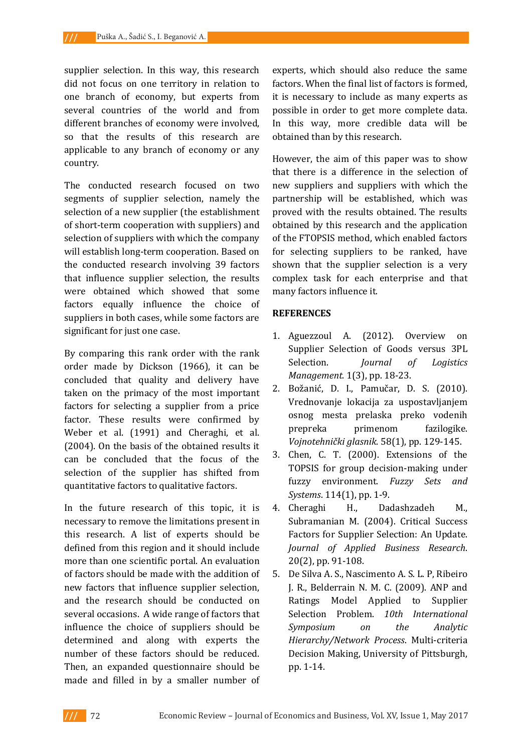supplier selection. In this way, this research did not focus on one territory in relation to one branch of economy, but experts from several countries of the world and from different branches of economy were involved, so that the results of this research are applicable to any branch of economy or any country.

The conducted research focused on two segments of supplier selection, namely the selection of a new supplier (the establishment of short-term cooperation with suppliers) and selection of suppliers with which the company will establish long-term cooperation. Based on the conducted research involving 39 factors that influence supplier selection, the results were obtained which showed that some factors equally influence the choice of suppliers in both cases, while some factors are significant for just one case.

By comparing this rank order with the rank order made by Dickson (1966), it can be concluded that quality and delivery have taken on the primacy of the most important factors for selecting a supplier from a price factor. These results were confirmed by Weber et al. (1991) and Cheraghi, et al. (2004). On the basis of the obtained results it can be concluded that the focus of the selection of the supplier has shifted from quantitative factors to qualitative factors.

In the future research of this topic, it is necessary to remove the limitations present in this research. A list of experts should be defined from this region and it should include more than one scientific portal. An evaluation of factors should be made with the addition of new factors that influence supplier selection, and the research should be conducted on several occasions. A wide range of factors that influence the choice of suppliers should be determined and along with experts the number of these factors should be reduced. Then, an expanded questionnaire should be made and filled in by a smaller number of

experts, which should also reduce the same factors. When the final list of factors is formed, it is necessary to include as many experts as possible in order to get more complete data. In this way, more credible data will be obtained than by this research.

However, the aim of this paper was to show that there is a difference in the selection of new suppliers and suppliers with which the partnership will be established, which was proved with the results obtained. The results obtained by this research and the application of the FTOPSIS method, which enabled factors for selecting suppliers to be ranked, have shown that the supplier selection is a very complex task for each enterprise and that many factors influence it.

## **REFERENCES**

- 1. Aguezzoul A. (2012). Overview on Supplier Selection of Goods versus 3PL Selection. *Journal of Logistics Management.* 1(3), pp. 18-23.
- 2. Bоžаnić, D. I., Pаmučаr, D. S. (2010). Vrеdnоvаnjе lоkаciја zа uspоstаvlјаnjеm оsnоg mеstа prеlаskа prеkо vоdеnih prеprеkа primеnоm fаzilоgikе. *Vојnоtеhnički glаsnik*. 58(1), pp. 129-145.
- 3. Chen, C. T. (2000). Extensions of the TOPSIS for group decision-making under fuzzy environment. *Fuzzy Sets and Systems*. 114(1), pp. 1-9.
- 4. Cheraghi H., Dadashzadeh M., Subramanian M. (2004). Critical Success Factors for Supplier Selection: An Update. *Journal of Applied Business Research*. 20(2), pp. 91-108.
- 5. De Silva A. S., Nascimento A. S. L. P, Ribeiro J. R., Belderrain N. M. C. (2009). ANP and Ratings Model Applied to Supplier Selection Problem. *10th International Symposium on the Analytic Hierarchy/Network Process*. Multi-criteria Decision Making, University of Pittsburgh, pp. 1-14.